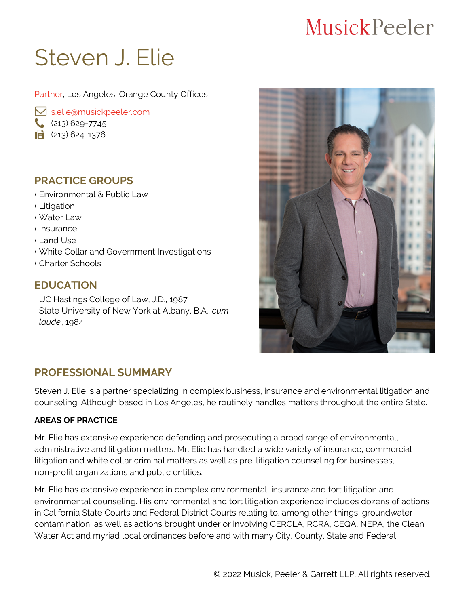## **MusickPeeler**

# Steven J. Elie

Partner, Los Angeles, Orange County Offices

 [s.elie@musickpeeler.com](mailto:s.elie@musickpeeler.com)

- $(213)$  629-7745
- $\mathbf{a}$  (213) 624-1376

## **PRACTICE GROUPS**

- Environmental & Public Law
- Litigation
- Water Law
- Insurance
- Land Use
- White Collar and Government Investigations
- Charter Schools

## **EDUCATION**

UC Hastings College of Law, J.D., 1987 State University of New York at Albany, B.A., *cum laude*, 1984



## **PROFESSIONAL SUMMARY**

Steven J. Elie is a partner specializing in complex business, insurance and environmental litigation and counseling. Although based in Los Angeles, he routinely handles matters throughout the entire State.

#### **AREAS OF PRACTICE**

Mr. Elie has extensive experience defending and prosecuting a broad range of environmental, administrative and litigation matters. Mr. Elie has handled a wide variety of insurance, commercial litigation and white collar criminal matters as well as pre-litigation counseling for businesses, non-profit organizations and public entities.

Mr. Elie has extensive experience in complex environmental, insurance and tort litigation and environmental counseling. His environmental and tort litigation experience includes dozens of actions in California State Courts and Federal District Courts relating to, among other things, groundwater contamination, as well as actions brought under or involving CERCLA, RCRA, CEQA, NEPA, the Clean Water Act and myriad local ordinances before and with many City, County, State and Federal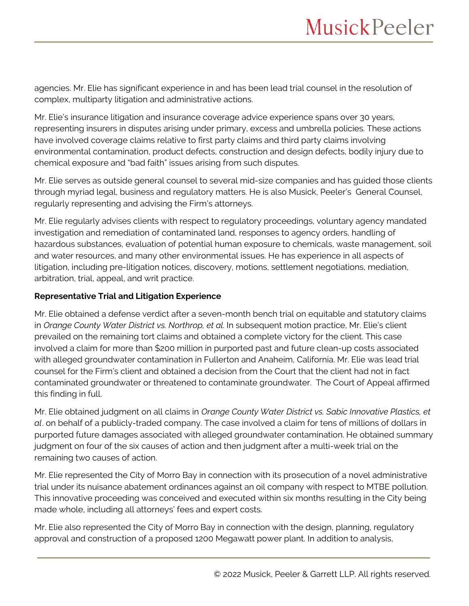agencies. Mr. Elie has significant experience in and has been lead trial counsel in the resolution of complex, multiparty litigation and administrative actions.

Mr. Elie's insurance litigation and insurance coverage advice experience spans over 30 years, representing insurers in disputes arising under primary, excess and umbrella policies. These actions have involved coverage claims relative to first party claims and third party claims involving environmental contamination, product defects, construction and design defects, bodily injury due to chemical exposure and "bad faith" issues arising from such disputes.

Mr. Elie serves as outside general counsel to several mid-size companies and has guided those clients through myriad legal, business and regulatory matters. He is also Musick, Peeler's General Counsel, regularly representing and advising the Firm's attorneys.

Mr. Elie regularly advises clients with respect to regulatory proceedings, voluntary agency mandated investigation and remediation of contaminated land, responses to agency orders, handling of hazardous substances, evaluation of potential human exposure to chemicals, waste management, soil and water resources, and many other environmental issues. He has experience in all aspects of litigation, including pre-litigation notices, discovery, motions, settlement negotiations, mediation, arbitration, trial, appeal, and writ practice.

#### **Representative Trial and Litigation Experience**

Mr. Elie obtained a defense verdict after a seven-month bench trial on equitable and statutory claims in *Orange County Water District vs. Northrop, et al*. In subsequent motion practice, Mr. Elie's client prevailed on the remaining tort claims and obtained a complete victory for the client. This case involved a claim for more than \$200 million in purported past and future clean-up costs associated with alleged groundwater contamination in Fullerton and Anaheim, California. Mr. Elie was lead trial counsel for the Firm's client and obtained a decision from the Court that the client had not in fact contaminated groundwater or threatened to contaminate groundwater. The Court of Appeal affirmed this finding in full.

Mr. Elie obtained judgment on all claims in *Orange County Water District vs. Sabic Innovative Plastics, et al*. on behalf of a publicly-traded company. The case involved a claim for tens of millions of dollars in purported future damages associated with alleged groundwater contamination. He obtained summary judgment on four of the six causes of action and then judgment after a multi-week trial on the remaining two causes of action.

Mr. Elie represented the City of Morro Bay in connection with its prosecution of a novel administrative trial under its nuisance abatement ordinances against an oil company with respect to MTBE pollution. This innovative proceeding was conceived and executed within six months resulting in the City being made whole, including all attorneys' fees and expert costs.

Mr. Elie also represented the City of Morro Bay in connection with the design, planning, regulatory approval and construction of a proposed 1200 Megawatt power plant. In addition to analysis,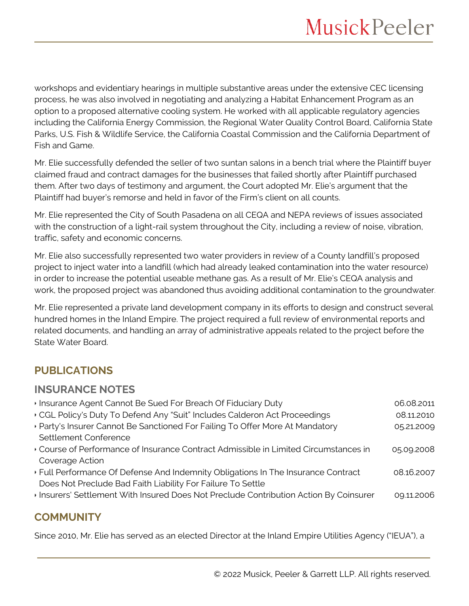workshops and evidentiary hearings in multiple substantive areas under the extensive CEC licensing process, he was also involved in negotiating and analyzing a Habitat Enhancement Program as an option to a proposed alternative cooling system. He worked with all applicable regulatory agencies including the California Energy Commission, the Regional Water Quality Control Board, California State Parks, U.S. Fish & Wildlife Service, the California Coastal Commission and the California Department of Fish and Game.

Mr. Elie successfully defended the seller of two suntan salons in a bench trial where the Plaintiff buyer claimed fraud and contract damages for the businesses that failed shortly after Plaintiff purchased them. After two days of testimony and argument, the Court adopted Mr. Elie's argument that the Plaintiff had buyer's remorse and held in favor of the Firm's client on all counts.

Mr. Elie represented the City of South Pasadena on all CEQA and NEPA reviews of issues associated with the construction of a light-rail system throughout the City, including a review of noise, vibration, traffic, safety and economic concerns.

Mr. Elie also successfully represented two water providers in review of a County landfill's proposed project to inject water into a landfill (which had already leaked contamination into the water resource) in order to increase the potential useable methane gas. As a result of Mr. Elie's CEQA analysis and work, the proposed project was abandoned thus avoiding additional contamination to the groundwater.

Mr. Elie represented a private land development company in its efforts to design and construct several hundred homes in the Inland Empire. The project required a full review of environmental reports and related documents, and handling an array of administrative appeals related to the project before the State Water Board.

## **PUBLICATIONS**

#### **INSURANCE NOTES**

| Insurance Agent Cannot Be Sued For Breach Of Fiduciary Duty                          | 06.08.2011 |
|--------------------------------------------------------------------------------------|------------|
| ▸ CGL Policy's Duty To Defend Any "Suit" Includes Calderon Act Proceedings           | 08.11.2010 |
| · Party's Insurer Cannot Be Sanctioned For Failing To Offer More At Mandatory        | 05.21.2009 |
| Settlement Conference                                                                |            |
| Course of Performance of Insurance Contract Admissible in Limited Circumstances in   | 05.09.2008 |
| Coverage Action                                                                      |            |
| Full Performance Of Defense And Indemnity Obligations In The Insurance Contract      | 08.16.2007 |
| Does Not Preclude Bad Faith Liability For Failure To Settle                          |            |
| Insurers' Settlement With Insured Does Not Preclude Contribution Action By Coinsurer | 09.11.2006 |
|                                                                                      |            |

## **COMMUNITY**

Since 2010, Mr. Elie has served as an elected Director at the Inland Empire Utilities Agency ("IEUA"), a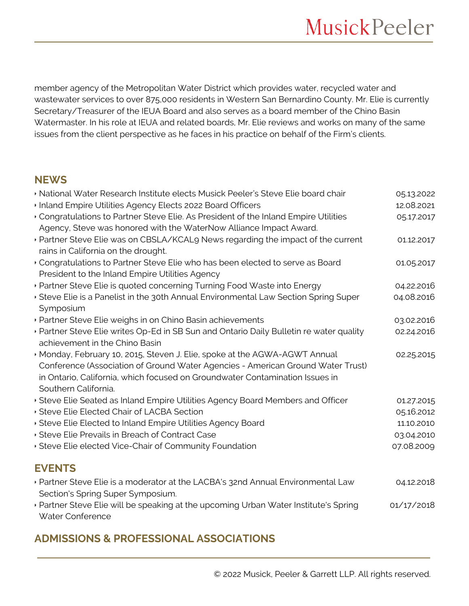member agency of the Metropolitan Water District which provides water, recycled water and wastewater services to over 875,000 residents in Western San Bernardino County. Mr. Elie is currently Secretary/Treasurer of the IEUA Board and also serves as a board member of the Chino Basin Watermaster. In his role at IEUA and related boards, Mr. Elie reviews and works on many of the same issues from the client perspective as he faces in his practice on behalf of the Firm's clients.

### **NEWS**

| · National Water Research Institute elects Musick Peeler's Steve Elie board chair                                                                                                                                                                                   | 05.13.2022 |
|---------------------------------------------------------------------------------------------------------------------------------------------------------------------------------------------------------------------------------------------------------------------|------------|
| Inland Empire Utilities Agency Elects 2022 Board Officers                                                                                                                                                                                                           | 12.08.2021 |
| Congratulations to Partner Steve Elie. As President of the Inland Empire Utilities<br>Agency, Steve was honored with the WaterNow Alliance Impact Award.                                                                                                            | 05.17.2017 |
| ▶ Partner Steve Elie was on CBSLA/KCAL9 News regarding the impact of the current<br>rains in California on the drought.                                                                                                                                             | 01.12.2017 |
| Congratulations to Partner Steve Elie who has been elected to serve as Board<br>President to the Inland Empire Utilities Agency                                                                                                                                     | 01.05.2017 |
| · Partner Steve Elie is quoted concerning Turning Food Waste into Energy                                                                                                                                                                                            | 04.22.2016 |
| Steve Elie is a Panelist in the 30th Annual Environmental Law Section Spring Super<br>Symposium                                                                                                                                                                     | 04.08.2016 |
| · Partner Steve Elie weighs in on Chino Basin achievements                                                                                                                                                                                                          | 03.02.2016 |
| · Partner Steve Elie writes Op-Ed in SB Sun and Ontario Daily Bulletin re water quality<br>achievement in the Chino Basin                                                                                                                                           | 02.24.2016 |
| Monday, February 10, 2015, Steven J. Elie, spoke at the AGWA-AGWT Annual<br>Conference (Association of Ground Water Agencies - American Ground Water Trust)<br>in Ontario, California, which focused on Groundwater Contamination Issues in<br>Southern California. | 02.25.2015 |
| Steve Elie Seated as Inland Empire Utilities Agency Board Members and Officer                                                                                                                                                                                       | 01.27.2015 |
| Steve Elie Elected Chair of LACBA Section                                                                                                                                                                                                                           | 05.16.2012 |
| Steve Elie Elected to Inland Empire Utilities Agency Board                                                                                                                                                                                                          | 11.10.2010 |
| Steve Elie Prevails in Breach of Contract Case                                                                                                                                                                                                                      | 03.04.2010 |
| Steve Elie elected Vice-Chair of Community Foundation                                                                                                                                                                                                               | 07.08.2009 |
| <b>EVENTS</b>                                                                                                                                                                                                                                                       |            |
| • Partner Steve Elie is a moderator at the LACBA's 32nd Annual Environmental Law<br>Section's Spring Super Symposium.                                                                                                                                               | 04.12.2018 |
| ▶ Partner Steve Elie will be speaking at the upcoming Urban Water Institute's Spring<br>Water Conference                                                                                                                                                            | 01/17/2018 |

## **ADMISSIONS & PROFESSIONAL ASSOCIATIONS**